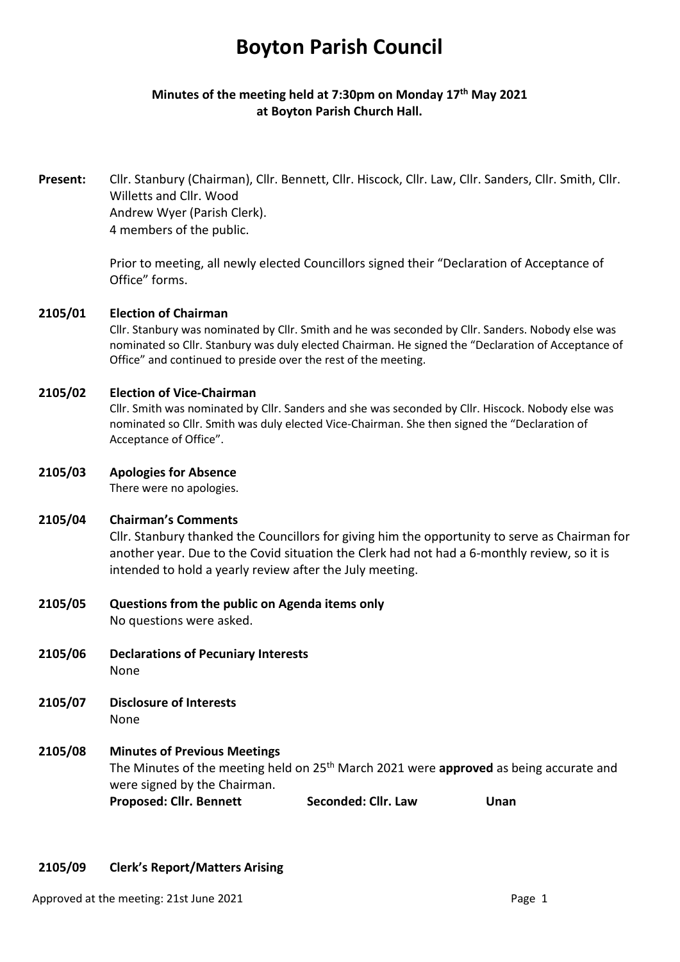# **Boyton Parish Council**

# **Minutes of the meeting held at 7:30pm on Monday 17th May 2021 at Boyton Parish Church Hall.**

**Present:** Cllr. Stanbury (Chairman), Cllr. Bennett, Cllr. Hiscock, Cllr. Law, Cllr. Sanders, Cllr. Smith, Cllr. Willetts and Cllr. Wood Andrew Wyer (Parish Clerk). 4 members of the public.

> Prior to meeting, all newly elected Councillors signed their "Declaration of Acceptance of Office" forms.

#### **2105/01 Election of Chairman**

Cllr. Stanbury was nominated by Cllr. Smith and he was seconded by Cllr. Sanders. Nobody else was nominated so Cllr. Stanbury was duly elected Chairman. He signed the "Declaration of Acceptance of Office" and continued to preside over the rest of the meeting.

#### **2105/02 Election of Vice-Chairman**

Cllr. Smith was nominated by Cllr. Sanders and she was seconded by Cllr. Hiscock. Nobody else was nominated so Cllr. Smith was duly elected Vice-Chairman. She then signed the "Declaration of Acceptance of Office".

#### **2105/03 Apologies for Absence**

There were no apologies.

#### **2105/04 Chairman's Comments**

Cllr. Stanbury thanked the Councillors for giving him the opportunity to serve as Chairman for another year. Due to the Covid situation the Clerk had not had a 6-monthly review, so it is intended to hold a yearly review after the July meeting.

**2105/05 Questions from the public on Agenda items only**

No questions were asked.

- **2105/06 Declarations of Pecuniary Interests** None
- **2105/07 Disclosure of Interests**  None

# **2105/08 Minutes of Previous Meetings**  The Minutes of the meeting held on 25th March 2021 were **approved** as being accurate and were signed by the Chairman. Proposed: Cllr. Bennett **Seconded: Cllr. Law** Unan

## **2105/09 Clerk's Report/Matters Arising**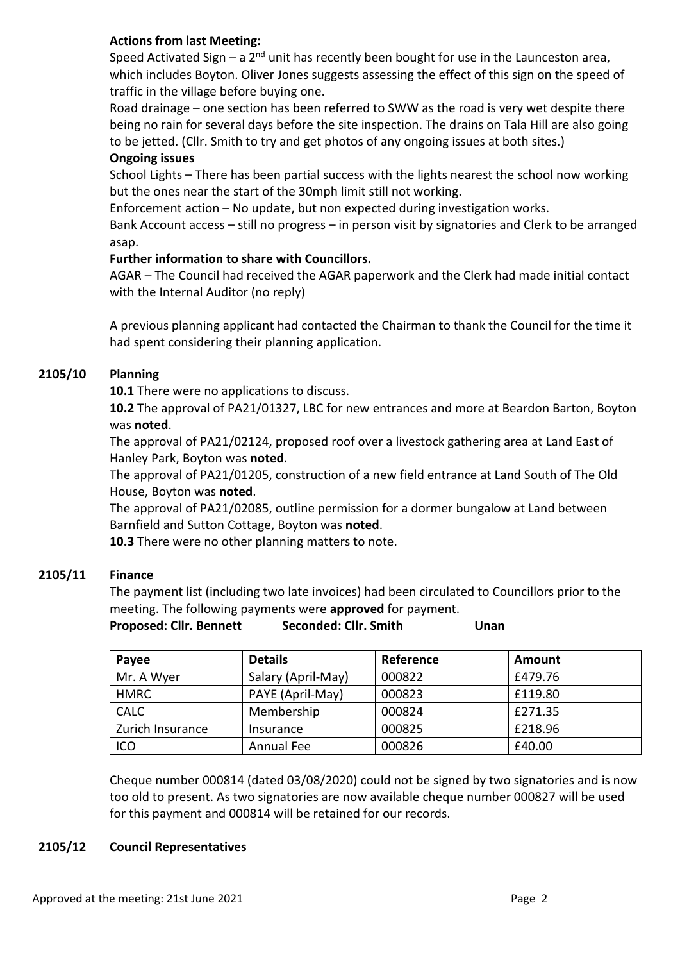# **Actions from last Meeting:**

Speed Activated Sign – a  $2^{nd}$  unit has recently been bought for use in the Launceston area, which includes Boyton. Oliver Jones suggests assessing the effect of this sign on the speed of traffic in the village before buying one.

Road drainage – one section has been referred to SWW as the road is very wet despite there being no rain for several days before the site inspection. The drains on Tala Hill are also going to be jetted. (Cllr. Smith to try and get photos of any ongoing issues at both sites.)

#### **Ongoing issues**

School Lights – There has been partial success with the lights nearest the school now working but the ones near the start of the 30mph limit still not working.

Enforcement action – No update, but non expected during investigation works.

Bank Account access – still no progress – in person visit by signatories and Clerk to be arranged asap.

## **Further information to share with Councillors.**

AGAR – The Council had received the AGAR paperwork and the Clerk had made initial contact with the Internal Auditor (no reply)

A previous planning applicant had contacted the Chairman to thank the Council for the time it had spent considering their planning application.

## **2105/10 Planning**

**10.1** There were no applications to discuss.

**10.2** The approval of PA21/01327, LBC for new entrances and more at Beardon Barton, Boyton was **noted**.

The approval of PA21/02124, proposed roof over a livestock gathering area at Land East of Hanley Park, Boyton was **noted**.

The approval of PA21/01205, construction of a new field entrance at Land South of The Old House, Boyton was **noted**.

The approval of PA21/02085, outline permission for a dormer bungalow at Land between Barnfield and Sutton Cottage, Boyton was **noted**.

**10.3** There were no other planning matters to note.

## **2105/11 Finance**

The payment list (including two late invoices) had been circulated to Councillors prior to the meeting. The following payments were **approved** for payment.

| <b>Proposed: Cllr. Bennett</b> | Seconded: Cllr. Smith | Unan |
|--------------------------------|-----------------------|------|
|                                |                       |      |

| Payee            | <b>Details</b>     | Reference | <b>Amount</b> |
|------------------|--------------------|-----------|---------------|
| Mr. A Wyer       | Salary (April-May) | 000822    | £479.76       |
| <b>HMRC</b>      | PAYE (April-May)   | 000823    | £119.80       |
| <b>CALC</b>      | Membership         | 000824    | £271.35       |
| Zurich Insurance | Insurance          | 000825    | £218.96       |
| ICO              | Annual Fee         | 000826    | £40.00        |

Cheque number 000814 (dated 03/08/2020) could not be signed by two signatories and is now too old to present. As two signatories are now available cheque number 000827 will be used for this payment and 000814 will be retained for our records.

## **2105/12 Council Representatives**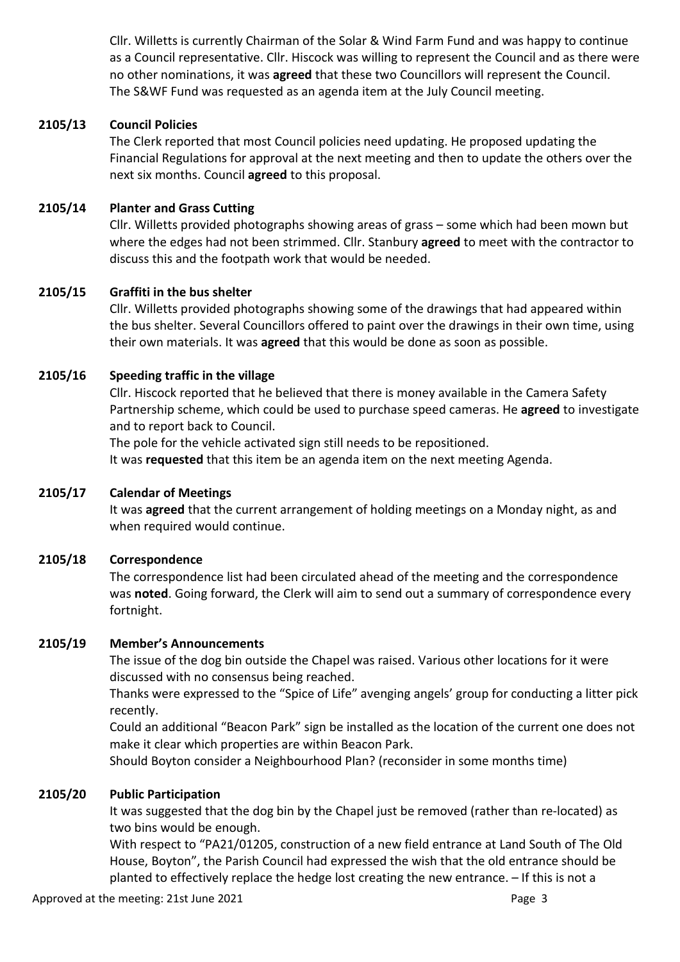Cllr. Willetts is currently Chairman of the Solar & Wind Farm Fund and was happy to continue as a Council representative. Cllr. Hiscock was willing to represent the Council and as there were no other nominations, it was **agreed** that these two Councillors will represent the Council. The S&WF Fund was requested as an agenda item at the July Council meeting.

## **2105/13 Council Policies**

The Clerk reported that most Council policies need updating. He proposed updating the Financial Regulations for approval at the next meeting and then to update the others over the next six months. Council **agreed** to this proposal.

# **2105/14 Planter and Grass Cutting**

Cllr. Willetts provided photographs showing areas of grass – some which had been mown but where the edges had not been strimmed. Cllr. Stanbury **agreed** to meet with the contractor to discuss this and the footpath work that would be needed.

## **2105/15 Graffiti in the bus shelter**

Cllr. Willetts provided photographs showing some of the drawings that had appeared within the bus shelter. Several Councillors offered to paint over the drawings in their own time, using their own materials. It was **agreed** that this would be done as soon as possible.

## **2105/16 Speeding traffic in the village**

Cllr. Hiscock reported that he believed that there is money available in the Camera Safety Partnership scheme, which could be used to purchase speed cameras. He **agreed** to investigate and to report back to Council.

The pole for the vehicle activated sign still needs to be repositioned.

It was **requested** that this item be an agenda item on the next meeting Agenda.

## **2105/17 Calendar of Meetings**

It was **agreed** that the current arrangement of holding meetings on a Monday night, as and when required would continue.

## **2105/18 Correspondence**

The correspondence list had been circulated ahead of the meeting and the correspondence was **noted**. Going forward, the Clerk will aim to send out a summary of correspondence every fortnight.

## **2105/19 Member's Announcements**

The issue of the dog bin outside the Chapel was raised. Various other locations for it were discussed with no consensus being reached.

Thanks were expressed to the "Spice of Life" avenging angels' group for conducting a litter pick recently.

Could an additional "Beacon Park" sign be installed as the location of the current one does not make it clear which properties are within Beacon Park.

Should Boyton consider a Neighbourhood Plan? (reconsider in some months time)

## **2105/20 Public Participation**

It was suggested that the dog bin by the Chapel just be removed (rather than re-located) as two bins would be enough.

With respect to "PA21/01205, construction of a new field entrance at Land South of The Old House, Boyton", the Parish Council had expressed the wish that the old entrance should be planted to effectively replace the hedge lost creating the new entrance. – If this is not a